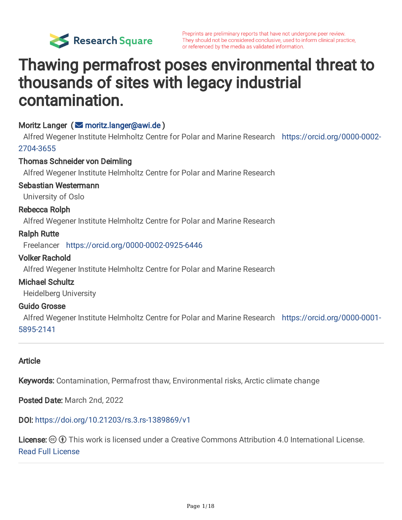

# Thawing permafrost poses environmental threat to thousands of sites with legacy industrial contamination.

#### Moritz Langer (**S** [moritz.langer@awi.de](mailto:moritz.langer@awi.de))

Alfred Wegener Institute Helmholtz Centre for Polar and Marine Research [https://orcid.org/0000-0002-](https://orcid.org/0000-0002-2704-3655) 2704-3655

#### Thomas Schneider von Deimling

Alfred Wegener Institute Helmholtz Centre for Polar and Marine Research

#### Sebastian Westermann

University of Oslo

#### Rebecca Rolph

Alfred Wegener Institute Helmholtz Centre for Polar and Marine Research

#### Ralph Rutte

Freelancer <https://orcid.org/0000-0002-0925-6446>

#### Volker Rachold

Alfred Wegener Institute Helmholtz Centre for Polar and Marine Research

#### Michael Schultz

Heidelberg University

#### Guido Grosse

Alfred Wegener Institute Helmholtz Centre for Polar and Marine Research [https://orcid.org/0000-0001-](https://orcid.org/0000-0001-5895-2141) 5895-2141

#### Article

Keywords: Contamination, Permafrost thaw, Environmental risks, Arctic climate change

Posted Date: March 2nd, 2022

#### DOI: <https://doi.org/10.21203/rs.3.rs-1389869/v1>

**License:**  $\circledcirc$   $\circledcirc$  This work is licensed under a Creative Commons Attribution 4.0 International License. Read Full [License](https://creativecommons.org/licenses/by/4.0/)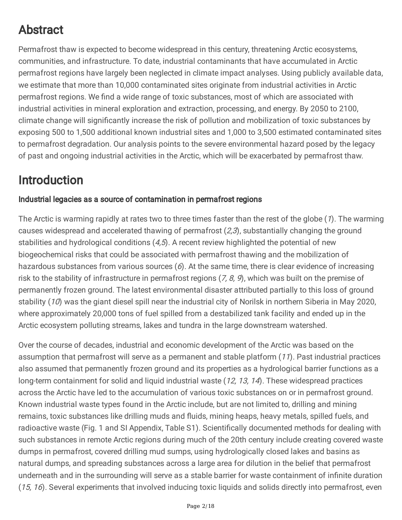## Abstract

Permafrost thaw is expected to become widespread in this century, threatening Arctic ecosystems, communities, and infrastructure. To date, industrial contaminants that have accumulated in Arctic permafrost regions have largely been neglected in climate impact analyses. Using publicly available data, we estimate that more than 10,000 contaminated sites originate from industrial activities in Arctic permafrost regions. We find a wide range of toxic substances, most of which are associated with industrial activities in mineral exploration and extraction, processing, and energy. By 2050 to 2100, climate change will significantly increase the risk of pollution and mobilization of toxic substances by exposing 500 to 1,500 additional known industrial sites and 1,000 to 3,500 estimated contaminated sites to permafrost degradation. Our analysis points to the severe environmental hazard posed by the legacy of past and ongoing industrial activities in the Arctic, which will be exacerbated by permafrost thaw.

## Introduction

### Industrial legacies as a source of contamination in permafrost regions

The Arctic is warming rapidly at rates two to three times faster than the rest of the globe (1). The warming causes widespread and accelerated thawing of permafrost  $(2,3)$ , substantially changing the ground stabilities and hydrological conditions  $(4,5)$ . A recent review highlighted the potential of new biogeochemical risks that could be associated with permafrost thawing and the mobilization of hazardous substances from various sources  $(6)$ . At the same time, there is clear evidence of increasing risk to the stability of infrastructure in permafrost regions  $(7, 8, 9)$ , which was built on the premise of permanently frozen ground. The latest environmental disaster attributed partially to this loss of ground stability (10) was the giant diesel spill near the industrial city of Norilsk in northern Siberia in May 2020, where approximately 20,000 tons of fuel spilled from a destabilized tank facility and ended up in the Arctic ecosystem polluting streams, lakes and tundra in the large downstream watershed.

Over the course of decades, industrial and economic development of the Arctic was based on the assumption that permafrost will serve as a permanent and stable platform (11). Past industrial practices also assumed that permanently frozen ground and its properties as a hydrological barrier functions as a long-term containment for solid and liquid industrial waste (12, 13, 14). These widespread practices across the Arctic have led to the accumulation of various toxic substances on or in permafrost ground. Known industrial waste types found in the Arctic include, but are not limited to, drilling and mining remains, toxic substances like drilling muds and fluids, mining heaps, heavy metals, spilled fuels, and radioactive waste (Fig. 1 and SI Appendix, Table S1). Scientifically documented methods for dealing with such substances in remote Arctic regions during much of the 20th century include creating covered waste dumps in permafrost, covered drilling mud sumps, using hydrologically closed lakes and basins as natural dumps, and spreading substances across a large area for dilution in the belief that permafrost underneath and in the surrounding will serve as a stable barrier for waste containment of infinite duration (15, 16). Several experiments that involved inducing toxic liquids and solids directly into permafrost, even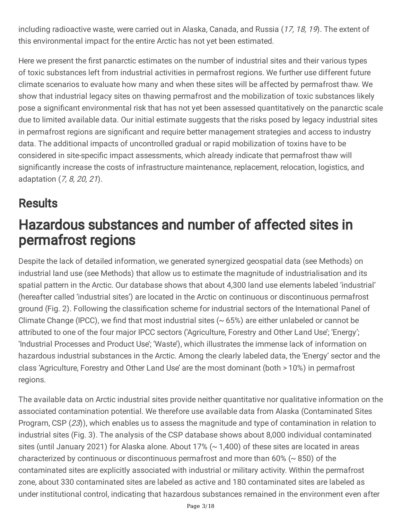including radioactive waste, were carried out in Alaska, Canada, and Russia (17, 18, 19). The extent of this environmental impact for the entire Arctic has not yet been estimated.

Here we present the first panarctic estimates on the number of industrial sites and their various types of toxic substances left from industrial activities in permafrost regions. We further use different future climate scenarios to evaluate how many and when these sites will be affected by permafrost thaw. We show that industrial legacy sites on thawing permafrost and the mobilization of toxic substances likely pose a significant environmental risk that has not yet been assessed quantitatively on the panarctic scale due to limited available data. Our initial estimate suggests that the risks posed by legacy industrial sites in permafrost regions are significant and require better management strategies and access to industry data. The additional impacts of uncontrolled gradual or rapid mobilization of toxins have to be considered in site-specific impact assessments, which already indicate that permafrost thaw will significantly increase the costs of infrastructure maintenance, replacement, relocation, logistics, and adaptation (7, 8, 20, 21).

# **Results**

# Hazardous substances and number of affected sites in permafrost regions

Despite the lack of detailed information, we generated synergized geospatial data (see Methods) on industrial land use (see Methods) that allow us to estimate the magnitude of industrialisation and its spatial pattern in the Arctic. Our database shows that about 4,300 land use elements labeled 'industrial' (hereafter called 'industrial sites') are located in the Arctic on continuous or discontinuous permafrost ground (Fig. 2). Following the classification scheme for industrial sectors of the International Panel of Climate Change (IPCC), we find that most industrial sites  $($   $\sim$  65%) are either unlabeled or cannot be attributed to one of the four major IPCC sectors ('Agriculture, Forestry and Other Land Use'; 'Energy'; 'Industrial Processes and Product Use'; 'Waste'), which illustrates the immense lack of information on hazardous industrial substances in the Arctic. Among the clearly labeled data, the 'Energy' sector and the class 'Agriculture, Forestry and Other Land Use' are the most dominant (both > 10%) in permafrost regions.

The available data on Arctic industrial sites provide neither quantitative nor qualitative information on the associated contamination potential. We therefore use available data from Alaska (Contaminated Sites Program, CSP (23)), which enables us to assess the magnitude and type of contamination in relation to industrial sites (Fig. 3). The analysis of the CSP database shows about 8,000 individual contaminated sites (until January 2021) for Alaska alone. About 17% (~ 1,400) of these sites are located in areas characterized by continuous or discontinuous permafrost and more than 60% (~ 850) of the contaminated sites are explicitly associated with industrial or military activity. Within the permafrost zone, about 330 contaminated sites are labeled as active and 180 contaminated sites are labeled as under institutional control, indicating that hazardous substances remained in the environment even after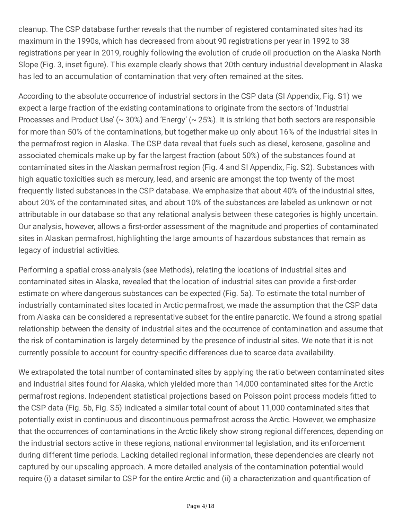cleanup. The CSP database further reveals that the number of registered contaminated sites had its maximum in the 1990s, which has decreased from about 90 registrations per year in 1992 to 38 registrations per year in 2019, roughly following the evolution of crude oil production on the Alaska North Slope (Fig. 3, inset figure). This example clearly shows that 20th century industrial development in Alaska has led to an accumulation of contamination that very often remained at the sites.

According to the absolute occurrence of industrial sectors in the CSP data (SI Appendix, Fig. S1) we expect a large fraction of the existing contaminations to originate from the sectors of 'Industrial Processes and Product Use' ( $\sim$  30%) and 'Energy' ( $\sim$  25%). It is striking that both sectors are responsible for more than 50% of the contaminations, but together make up only about 16% of the industrial sites in the permafrost region in Alaska. The CSP data reveal that fuels such as diesel, kerosene, gasoline and associated chemicals make up by far the largest fraction (about 50%) of the substances found at contaminated sites in the Alaskan permafrost region (Fig. 4 and SI Appendix, Fig. S2). Substances with high aquatic toxicities such as mercury, lead, and arsenic are amongst the top twenty of the most frequently listed substances in the CSP database. We emphasize that about 40% of the industrial sites, about 20% of the contaminated sites, and about 10% of the substances are labeled as unknown or not attributable in our database so that any relational analysis between these categories is highly uncertain. Our analysis, however, allows a first-order assessment of the magnitude and properties of contaminated sites in Alaskan permafrost, highlighting the large amounts of hazardous substances that remain as legacy of industrial activities.

Performing a spatial cross-analysis (see Methods), relating the locations of industrial sites and contaminated sites in Alaska, revealed that the location of industrial sites can provide a first-order estimate on where dangerous substances can be expected (Fig. 5a). To estimate the total number of industrially contaminated sites located in Arctic permafrost, we made the assumption that the CSP data from Alaska can be considered a representative subset for the entire panarctic. We found a strong spatial relationship between the density of industrial sites and the occurrence of contamination and assume that the risk of contamination is largely determined by the presence of industrial sites. We note that it is not currently possible to account for country-specific differences due to scarce data availability.

We extrapolated the total number of contaminated sites by applying the ratio between contaminated sites and industrial sites found for Alaska, which yielded more than 14,000 contaminated sites for the Arctic permafrost regions. Independent statistical projections based on Poisson point process models fitted to the CSP data (Fig. 5b, Fig. S5) indicated a similar total count of about 11,000 contaminated sites that potentially exist in continuous and discontinuous permafrost across the Arctic. However, we emphasize that the occurrences of contaminations in the Arctic likely show strong regional differences, depending on the industrial sectors active in these regions, national environmental legislation, and its enforcement during different time periods. Lacking detailed regional information, these dependencies are clearly not captured by our upscaling approach. A more detailed analysis of the contamination potential would require (i) a dataset similar to CSP for the entire Arctic and (ii) a characterization and quantification of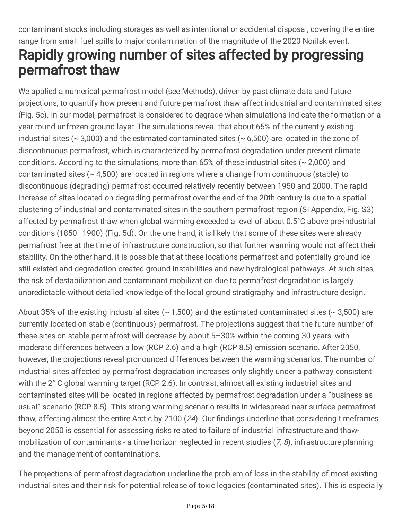### contaminant stocks including storages as well as intentional or accidental disposal, covering the entire range from small fuel spills to major contamination of the magnitude of the 2020 Norilsk event. Rapidly growing number of sites affected by progressing permafrost thaw

We applied a numerical permafrost model (see Methods), driven by past climate data and future projections, to quantify how present and future permafrost thaw affect industrial and contaminated sites (Fig. 5c). In our model, permafrost is considered to degrade when simulations indicate the formation of a year-round unfrozen ground layer. The simulations reveal that about 65% of the currently existing industrial sites ( $\sim$  3,000) and the estimated contaminated sites ( $\sim$  6,500) are located in the zone of discontinuous permafrost, which is characterized by permafrost degradation under present climate conditions. According to the simulations, more than 65% of these industrial sites (~ 2,000) and contaminated sites (~ 4,500) are located in regions where a change from continuous (stable) to discontinuous (degrading) permafrost occurred relatively recently between 1950 and 2000. The rapid increase of sites located on degrading permafrost over the end of the 20th century is due to a spatial clustering of industrial and contaminated sites in the southern permafrost region (SI Appendix, Fig. S3) affected by permafrost thaw when global warming exceeded a level of about 0.5°C above pre-industrial conditions (1850–1900) (Fig. 5d). On the one hand, it is likely that some of these sites were already permafrost free at the time of infrastructure construction, so that further warming would not affect their stability. On the other hand, it is possible that at these locations permafrost and potentially ground ice still existed and degradation created ground instabilities and new hydrological pathways. At such sites, the risk of destabilization and contaminant mobilization due to permafrost degradation is largely unpredictable without detailed knowledge of the local ground stratigraphy and infrastructure design.

About 35% of the existing industrial sites ( $\sim$  1,500) and the estimated contaminated sites ( $\sim$  3,500) are currently located on stable (continuous) permafrost. The projections suggest that the future number of these sites on stable permafrost will decrease by about 5–30% within the coming 30 years, with moderate differences between a low (RCP 2.6) and a high (RCP 8.5) emission scenario. After 2050, however, the projections reveal pronounced differences between the warming scenarios. The number of industrial sites affected by permafrost degradation increases only slightly under a pathway consistent with the 2° C global warming target (RCP 2.6). In contrast, almost all existing industrial sites and contaminated sites will be located in regions affected by permafrost degradation under a "business as usual" scenario (RCP 8.5). This strong warming scenario results in widespread near-surface permafrost thaw, affecting almost the entire Arctic by 2100 (24). Our findings underline that considering timeframes beyond 2050 is essential for assessing risks related to failure of industrial infrastructure and thawmobilization of contaminants - a time horizon neglected in recent studies  $(7, 8)$ , infrastructure planning and the management of contaminations.

The projections of permafrost degradation underline the problem of loss in the stability of most existing industrial sites and their risk for potential release of toxic legacies (contaminated sites). This is especially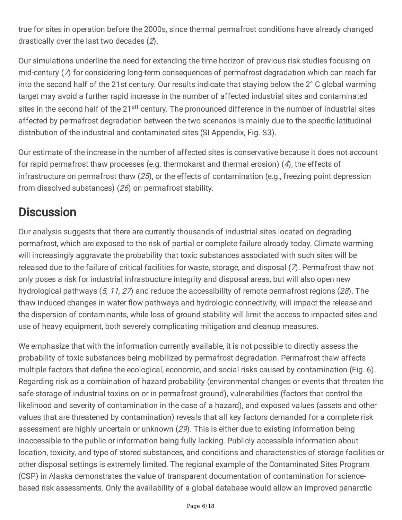true for sites in operation before the 2000s, since thermal permafrost conditions have already changed drastically over the last two decades (2).

Our simulations underline the need for extending the time horizon of previous risk studies focusing on mid-century (7) for considering long-term consequences of permafrost degradation which can reach far into the second half of the 21st century. Our results indicate that staying below the 2° C global warming target may avoid a further rapid increase in the number of affected industrial sites and contaminated sites in the second half of the 21<sup>stt</sup> century. The pronounced difference in the number of industrial sites affected by permafrost degradation between the two scenarios is mainly due to the specific latitudinal distribution of the industrial and contaminated sites (SI Appendix, Fig. S3).

Our estimate of the increase in the number of affected sites is conservative because it does not account for rapid permafrost thaw processes (e.g. thermokarst and thermal erosion) (4), the effects of infrastructure on permafrost thaw  $(25)$ , or the effects of contamination (e.g., freezing point depression from dissolved substances) (26) on permafrost stability.

### **Discussion**

Our analysis suggests that there are currently thousands of industrial sites located on degrading permafrost, which are exposed to the risk of partial or complete failure already today. Climate warming will increasingly aggravate the probability that toxic substances associated with such sites will be released due to the failure of critical facilities for waste, storage, and disposal (7). Permafrost thaw not only poses a risk for industrial infrastructure integrity and disposal areas, but will also open new hydrological pathways  $(5, 11, 27)$  and reduce the accessibility of remote permafrost regions (28). The thaw-induced changes in water flow pathways and hydrologic connectivity, will impact the release and the dispersion of contaminants, while loss of ground stability will limit the access to impacted sites and use of heavy equipment, both severely complicating mitigation and cleanup measures.

We emphasize that with the information currently available, it is not possible to directly assess the probability of toxic substances being mobilized by permafrost degradation. Permafrost thaw affects multiple factors that define the ecological, economic, and social risks caused by contamination (Fig. 6). Regarding risk as a combination of hazard probability (environmental changes or events that threaten the safe storage of industrial toxins on or in permafrost ground), vulnerabilities (factors that control the likelihood and severity of contamination in the case of a hazard), and exposed values (assets and other values that are threatened by contamination) reveals that all key factors demanded for a complete risk assessment are highly uncertain or unknown (29). This is either due to existing information being inaccessible to the public or information being fully lacking. Publicly accessible information about location, toxicity, and type of stored substances, and conditions and characteristics of storage facilities or other disposal settings is extremely limited. The regional example of the Contaminated Sites Program (CSP) in Alaska demonstrates the value of transparent documentation of contamination for sciencebased risk assessments. Only the availability of a global database would allow an improved panarctic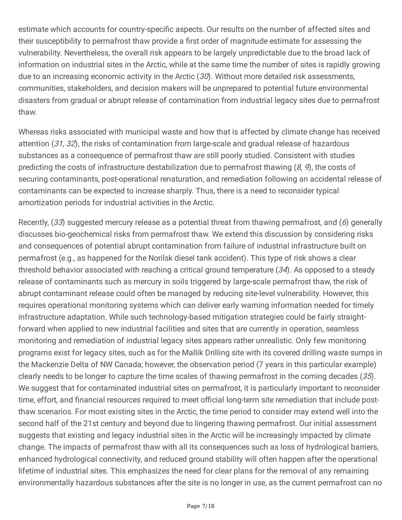estimate which accounts for country-specific aspects. Our results on the number of affected sites and their susceptibility to permafrost thaw provide a first order of magnitude estimate for assessing the vulnerability. Nevertheless, the overall risk appears to be largely unpredictable due to the broad lack of information on industrial sites in the Arctic, while at the same time the number of sites is rapidly growing due to an increasing economic activity in the Arctic  $(30)$ . Without more detailed risk assessments, communities, stakeholders, and decision makers will be unprepared to potential future environmental disasters from gradual or abrupt release of contamination from industrial legacy sites due to permafrost thaw.

Whereas risks associated with municipal waste and how that is affected by climate change has received attention (31, 32), the risks of contamination from large-scale and gradual release of hazardous substances as a consequence of permafrost thaw are still poorly studied. Consistent with studies predicting the costs of infrastructure destabilization due to permafrost thawing  $(8, 9)$ , the costs of securing contaminants, post-operational renaturation, and remediation following an accidental release of contaminants can be expected to increase sharply. Thus, there is a need to reconsider typical amortization periods for industrial activities in the Arctic.

Recently, (33) suggested mercury release as a potential threat from thawing permafrost, and (6) generally discusses bio-geochemical risks from permafrost thaw. We extend this discussion by considering risks and consequences of potential abrupt contamination from failure of industrial infrastructure built on permafrost (e.g., as happened for the Norilsk diesel tank accident). This type of risk shows a clear threshold behavior associated with reaching a critical ground temperature  $(34)$ . As opposed to a steady release of contaminants such as mercury in soils triggered by large-scale permafrost thaw, the risk of abrupt contaminant release could often be managed by reducing site-level vulnerability. However, this requires operational monitoring systems which can deliver early warning information needed for timely infrastructure adaptation. While such technology-based mitigation strategies could be fairly straightforward when applied to new industrial facilities and sites that are currently in operation, seamless monitoring and remediation of industrial legacy sites appears rather unrealistic. Only few monitoring programs exist for legacy sites, such as for the Mallik Drilling site with its covered drilling waste sumps in the Mackenzie Delta of NW Canada; however, the observation period (7 years in this particular example) clearly needs to be longer to capture the time scales of thawing permafrost in the coming decades (35). We suggest that for contaminated industrial sites on permafrost, it is particularly important to reconsider time, effort, and financial resources required to meet official long-term site remediation that include postthaw scenarios. For most existing sites in the Arctic, the time period to consider may extend well into the second half of the 21st century and beyond due to lingering thawing permafrost. Our initial assessment suggests that existing and legacy industrial sites in the Arctic will be increasingly impacted by climate change. The impacts of permafrost thaw with all its consequences such as loss of hydrological barriers, enhanced hydrological connectivity, and reduced ground stability will often happen after the operational lifetime of industrial sites. This emphasizes the need for clear plans for the removal of any remaining environmentally hazardous substances after the site is no longer in use, as the current permafrost can no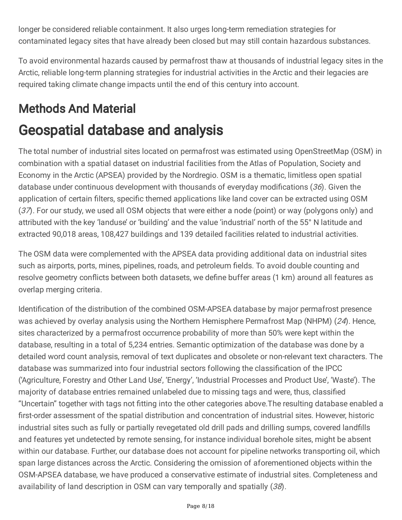longer be considered reliable containment. It also urges long-term remediation strategies for contaminated legacy sites that have already been closed but may still contain hazardous substances.

To avoid environmental hazards caused by permafrost thaw at thousands of industrial legacy sites in the Arctic, reliable long-term planning strategies for industrial activities in the Arctic and their legacies are required taking climate change impacts until the end of this century into account.

## Methods And Material

# Geospatial database and analysis

The total number of industrial sites located on permafrost was estimated using OpenStreetMap (OSM) in combination with a spatial dataset on industrial facilities from the Atlas of Population, Society and Economy in the Arctic (APSEA) provided by the Nordregio. OSM is a thematic, limitless open spatial database under continuous development with thousands of everyday modifications (36). Given the application of certain filters, specific themed applications like land cover can be extracted using OSM (37). For our study, we used all OSM objects that were either a node (point) or way (polygons only) and attributed with the key 'landuse' or 'building' and the value 'industrial' north of the 55° N latitude and extracted 90,018 areas, 108,427 buildings and 139 detailed facilities related to industrial activities.

The OSM data were complemented with the APSEA data providing additional data on industrial sites such as airports, ports, mines, pipelines, roads, and petroleum fields. To avoid double counting and resolve geometry conflicts between both datasets, we define buffer areas (1 km) around all features as overlap merging criteria.

Identification of the distribution of the combined OSM-APSEA database by major permafrost presence was achieved by overlay analysis using the Northern Hemisphere Permafrost Map (NHPM) (24). Hence, sites characterized by a permafrost occurrence probability of more than 50% were kept within the database, resulting in a total of 5,234 entries. Semantic optimization of the database was done by a detailed word count analysis, removal of text duplicates and obsolete or non-relevant text characters. The database was summarized into four industrial sectors following the classification of the IPCC ('Agriculture, Forestry and Other Land Use', 'Energy', 'Industrial Processes and Product Use', 'Waste'). The majority of database entries remained unlabeled due to missing tags and were, thus, classified "Uncertain" together with tags not fitting into the other categories above.The resulting database enabled a first-order assessment of the spatial distribution and concentration of industrial sites. However, historic industrial sites such as fully or partially revegetated old drill pads and drilling sumps, covered landfills and features yet undetected by remote sensing, for instance individual borehole sites, might be absent within our database. Further, our database does not account for pipeline networks transporting oil, which span large distances across the Arctic. Considering the omission of aforementioned objects within the OSM-APSEA database, we have produced a conservative estimate of industrial sites. Completeness and availability of land description in OSM can vary temporally and spatially (38).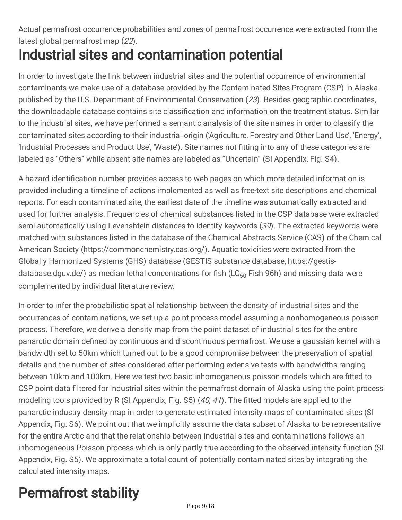### Actual permafrost occurrence probabilities and zones of permafrost occurrence were extracted from the latest global permafrost map (22).

# Industrial sites and contamination potential

In order to investigate the link between industrial sites and the potential occurrence of environmental contaminants we make use of a database provided by the Contaminated Sites Program (CSP) in Alaska published by the U.S. Department of Environmental Conservation (23). Besides geographic coordinates, the downloadable database contains site classification and information on the treatment status. Similar to the industrial sites, we have performed a semantic analysis of the site names in order to classify the contaminated sites according to their industrial origin ('Agriculture, Forestry and Other Land Use', 'Energy', 'Industrial Processes and Product Use', 'Waste'). Site names not fitting into any of these categories are labeled as "Others" while absent site names are labeled as "Uncertain" (SI Appendix, Fig. S4).

A hazard identification number provides access to web pages on which more detailed information is provided including a timeline of actions implemented as well as free-text site descriptions and chemical reports. For each contaminated site, the earliest date of the timeline was automatically extracted and used for further analysis. Frequencies of chemical substances listed in the CSP database were extracted semi-automatically using Levenshtein distances to identify keywords (39). The extracted keywords were matched with substances listed in the database of the Chemical Abstracts Service (CAS) of the Chemical American Society (https://commonchemistry.cas.org/). Aquatic toxicities were extracted from the Globally Harmonized Systems (GHS) database (GESTIS substance database, https://gestisdatabase.dguv.de/) as median lethal concentrations for fish (LC $_{50}$  Fish 96h) and missing data were complemented by individual literature review.

In order to infer the probabilistic spatial relationship between the density of industrial sites and the occurrences of contaminations, we set up a point process model assuming a nonhomogeneous poisson process. Therefore, we derive a density map from the point dataset of industrial sites for the entire panarctic domain defined by continuous and discontinuous permafrost. We use a gaussian kernel with a bandwidth set to 50km which turned out to be a good compromise between the preservation of spatial details and the number of sites considered after performing extensive tests with bandwidths ranging between 10km and 100km. Here we test two basic inhomogeneous poisson models which are fitted to CSP point data filtered for industrial sites within the permafrost domain of Alaska using the point process modeling tools provided by R (SI Appendix, Fig. S5) (40, 41). The fitted models are applied to the panarctic industry density map in order to generate estimated intensity maps of contaminated sites (SI Appendix, Fig. S6). We point out that we implicitly assume the data subset of Alaska to be representative for the entire Arctic and that the relationship between industrial sites and contaminations follows an inhomogeneous Poisson process which is only partly true according to the observed intensity function (SI Appendix, Fig. S5). We approximate a total count of potentially contaminated sites by integrating the calculated intensity maps.

# Permafrost stability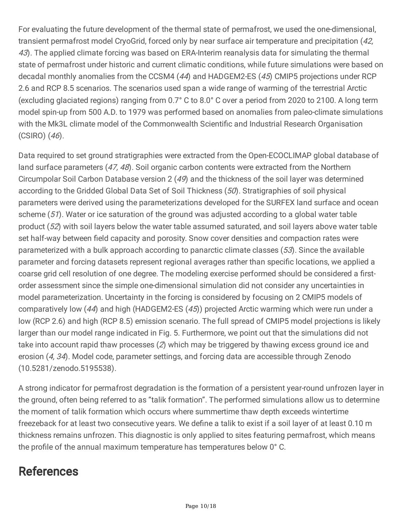For evaluating the future development of the thermal state of permafrost, we used the one-dimensional, transient permafrost model CryoGrid, forced only by near surface air temperature and precipitation (42, 43). The applied climate forcing was based on ERA-Interim reanalysis data for simulating the thermal state of permafrost under historic and current climatic conditions, while future simulations were based on decadal monthly anomalies from the CCSM4 (44) and HADGEM2-ES (45) CMIP5 projections under RCP 2.6 and RCP 8.5 scenarios. The scenarios used span a wide range of warming of the terrestrial Arctic (excluding glaciated regions) ranging from 0.7° C to 8.0° C over a period from 2020 to 2100. A long term model spin-up from 500 A.D. to 1979 was performed based on anomalies from paleo-climate simulations with the Mk3L climate model of the Commonwealth Scientific and Industrial Research Organisation (CSIRO) (46).

Data required to set ground stratigraphies were extracted from the Open-ECOCLIMAP global database of land surface parameters (47, 48). Soil organic carbon contents were extracted from the Northern Circumpolar Soil Carbon Database version 2 (49) and the thickness of the soil layer was determined according to the Gridded Global Data Set of Soil Thickness (50). Stratigraphies of soil physical parameters were derived using the parameterizations developed for the SURFEX land surface and ocean scheme (51). Water or ice saturation of the ground was adjusted according to a global water table product (52) with soil layers below the water table assumed saturated, and soil layers above water table set half-way between field capacity and porosity. Snow cover densities and compaction rates were parameterized with a bulk approach according to panarctic climate classes (53). Since the available parameter and forcing datasets represent regional averages rather than specific locations, we applied a coarse grid cell resolution of one degree. The modeling exercise performed should be considered a firstorder assessment since the simple one-dimensional simulation did not consider any uncertainties in model parameterization. Uncertainty in the forcing is considered by focusing on 2 CMIP5 models of comparatively low (44) and high (HADGEM2-ES (45)) projected Arctic warming which were run under a low (RCP 2.6) and high (RCP 8.5) emission scenario. The full spread of CMIP5 model projections is likely larger than our model range indicated in Fig. 5. Furthermore, we point out that the simulations did not take into account rapid thaw processes (2) which may be triggered by thawing excess ground ice and erosion (4, 34). Model code, parameter settings, and forcing data are accessible through Zenodo (10.5281/zenodo.5195538).

A strong indicator for permafrost degradation is the formation of a persistent year-round unfrozen layer in the ground, often being referred to as "talik formation". The performed simulations allow us to determine the moment of talik formation which occurs where summertime thaw depth exceeds wintertime freezeback for at least two consecutive years. We define a talik to exist if a soil layer of at least 0.10 m thickness remains unfrozen. This diagnostic is only applied to sites featuring permafrost, which means the profile of the annual maximum temperature has temperatures below 0° C.

## References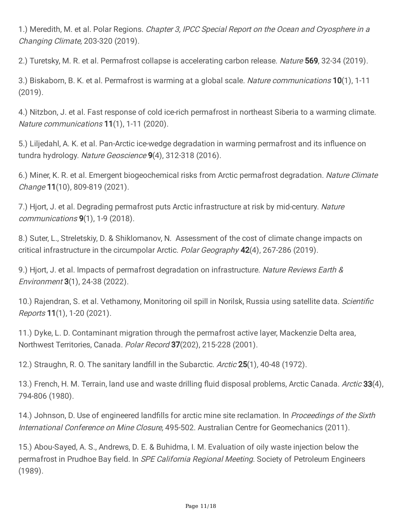1.) Meredith, M. et al. Polar Regions. *Chapter 3, IPCC Special Report on the Ocean and Cryosphere in a* Changing Climate, 203-320 (2019).

2.) Turetsky, M. R. et al. Permafrost collapse is accelerating carbon release. Nature 569, 32-34 (2019).

3.) Biskaborn, B. K. et al. Permafrost is warming at a global scale. Nature communications 10(1), 1-11 (2019).

4.) Nitzbon, J. et al. Fast response of cold ice-rich permafrost in northeast Siberia to a warming climate. Nature communications 11(1), 1-11 (2020).

5.) Liljedahl, A. K. et al. Pan-Arctic ice-wedge degradation in warming permafrost and its influence on tundra hydrology. Nature Geoscience 9(4), 312-318 (2016).

6.) Miner, K. R. et al. Emergent biogeochemical risks from Arctic permafrost degradation. Nature Climate Change 11(10), 809-819 (2021).

7.) Hiort, J. et al. Degrading permafrost puts Arctic infrastructure at risk by mid-century. Nature communications 9(1), 1-9 (2018).

8.) Suter, L., Streletskiy, D. & Shiklomanov, N. Assessment of the cost of climate change impacts on critical infrastructure in the circumpolar Arctic. Polar Geography 42(4), 267-286 (2019).

9.) Hjort, J. et al. Impacts of permafrost degradation on infrastructure. Nature Reviews Earth & Environment 3(1), 24-38 (2022).

10.) Rajendran, S. et al. Vethamony, Monitoring oil spill in Norilsk, Russia using satellite data. Scientific Reports 11(1), 1-20 (2021).

11.) Dyke, L. D. Contaminant migration through the permafrost active layer, Mackenzie Delta area, Northwest Territories, Canada. Polar Record 37(202), 215-228 (2001).

12.) Straughn, R. O. The sanitary landfill in the Subarctic. Arctic 25(1), 40-48 (1972).

13.) French, H. M. Terrain, land use and waste drilling fluid disposal problems, Arctic Canada. Arctic 33(4), 794-806 (1980).

14.) Johnson, D. Use of engineered landfills for arctic mine site reclamation. In Proceedings of the Sixth International Conference on Mine Closure, 495-502. Australian Centre for Geomechanics (2011).

15.) Abou-Sayed, A. S., Andrews, D. E. & Buhidma, I. M. Evaluation of oily waste injection below the permafrost in Prudhoe Bay field. In *SPE California Regional Meeting*. Society of Petroleum Engineers (1989).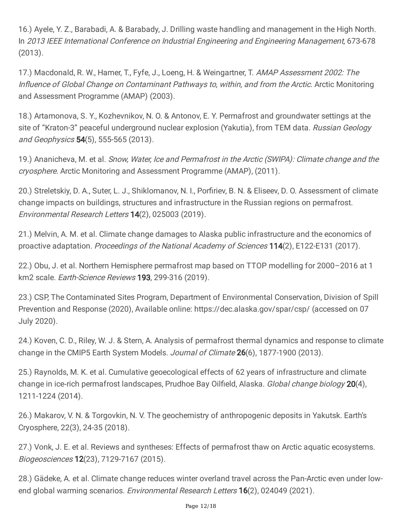16.) Ayele, Y. Z., Barabadi, A. & Barabady, J. Drilling waste handling and management in the High North. In 2013 IEEE International Conference on Industrial Engineering and Engineering Management, 673-678 (2013).

17.) Macdonald, R. W., Hamer, T., Fyfe, J., Loeng, H. & Weingartner, T. AMAP Assessment 2002: The Influence of Global Change on Contaminant Pathways to, within, and from the Arctic. Arctic Monitoring and Assessment Programme (AMAP) (2003).

18.) Artamonova, S. Y., Kozhevnikov, N. O. & Antonov, E. Y. Permafrost and groundwater settings at the site of "Kraton-3" peaceful underground nuclear explosion (Yakutia), from TEM data. Russian Geology and Geophysics **54**(5), 555-565 (2013).

19.) Ananicheva, M. et al. Snow, Water, Ice and Permafrost in the Arctic (SWIPA): Climate change and the cryosphere. Arctic Monitoring and Assessment Programme (AMAP), (2011).

20.) Streletskiy, D. A., Suter, L. J., Shiklomanov, N. I., Porfiriev, B. N. & Eliseev, D. O. Assessment of climate change impacts on buildings, structures and infrastructure in the Russian regions on permafrost. Environmental Research Letters 14(2), 025003 (2019).

21.) Melvin, A. M. et al. Climate change damages to Alaska public infrastructure and the economics of proactive adaptation. Proceedings of the National Academy of Sciences 114(2), E122-E131 (2017).

22.) Obu, J. et al. Northern Hemisphere permafrost map based on TTOP modelling for 2000–2016 at 1 km2 scale. Earth-Science Reviews 193, 299-316 (2019).

23.) CSP, The Contaminated Sites Program, Department of Environmental Conservation, Division of Spill Prevention and Response (2020), Available online: https://dec.alaska.gov/spar/csp/ (accessed on 07 July 2020).

24.) Koven, C. D., Riley, W. J. & Stern, A. Analysis of permafrost thermal dynamics and response to climate change in the CMIP5 Earth System Models. Journal of Climate 26(6), 1877-1900 (2013).

25.) Raynolds, M. K. et al. Cumulative geoecological effects of 62 years of infrastructure and climate change in ice-rich permafrost landscapes, Prudhoe Bay Oilfield, Alaska. Global change biology 20(4), 1211-1224 (2014).

26.) Makarov, V. N. & Torgovkin, N. V. The geochemistry of anthropogenic deposits in Yakutsk. Earth's Cryosphere, 22(3), 24-35 (2018).

27.) Vonk, J. E. et al. Reviews and syntheses: Effects of permafrost thaw on Arctic aquatic ecosystems. Biogeosciences 12(23), 7129-7167 (2015).

28.) Gädeke, A. et al. Climate change reduces winter overland travel across the Pan-Arctic even under lowend global warming scenarios. *Environmental Research Letters* **16**(2), 024049 (2021).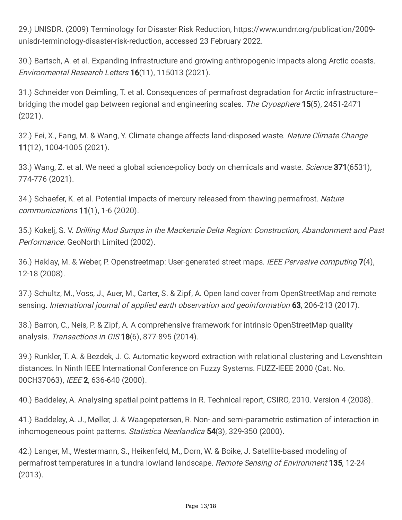29.) UNISDR. (2009) Terminology for Disaster Risk Reduction, https://www.undrr.org/publication/2009 unisdr-terminology-disaster-risk-reduction, accessed 23 February 2022.

30.) Bartsch, A. et al. Expanding infrastructure and growing anthropogenic impacts along Arctic coasts. Environmental Research Letters 16(11), 115013 (2021).

31.) Schneider von Deimling, T. et al. Consequences of permafrost degradation for Arctic infrastructure– bridging the model gap between regional and engineering scales. The Cryosphere 15(5), 2451-2471 (2021).

32.) Fei, X., Fang, M. & Wang, Y. Climate change affects land-disposed waste. Nature Climate Change 11(12), 1004-1005 (2021).

33.) Wang, Z. et al. We need a global science-policy body on chemicals and waste. Science 371(6531), 774-776 (2021).

34.) Schaefer, K. et al. Potential impacts of mercury released from thawing permafrost. Nature communications 11(1), 1-6 (2020).

35.) Kokelj, S. V. Drilling Mud Sumps in the Mackenzie Delta Region: Construction, Abandonment and Past Performance. GeoNorth Limited (2002).

36.) Haklay, M. & Weber, P. Openstreetmap: User-generated street maps. IEEE Pervasive computing 7(4), 12-18 (2008).

37.) Schultz, M., Voss, J., Auer, M., Carter, S. & Zipf, A. Open land cover from OpenStreetMap and remote sensing. International journal of applied earth observation and geoinformation 63, 206-213 (2017).

38.) Barron, C., Neis, P. & Zipf, A. A comprehensive framework for intrinsic OpenStreetMap quality analysis. Transactions in GIS 18(6), 877-895 (2014).

39.) Runkler, T. A. & Bezdek, J. C. Automatic keyword extraction with relational clustering and Levenshtein distances. In Ninth IEEE International Conference on Fuzzy Systems. FUZZ-IEEE 2000 (Cat. No. 00CH37063), IEEE 2, 636-640 (2000).

40.) Baddeley, A. Analysing spatial point patterns in R. Technical report, CSIRO, 2010. Version 4 (2008).

41.) Baddeley, A. J., Møller, J. & Waagepetersen, R. Non- and semi-parametric estimation of interaction in inhomogeneous point patterns. Statistica Neerlandica 54(3), 329-350 (2000).

42.) Langer, M., Westermann, S., Heikenfeld, M., Dorn, W. & Boike, J. Satellite-based modeling of permafrost temperatures in a tundra lowland landscape. Remote Sensing of Environment 135, 12-24 (2013).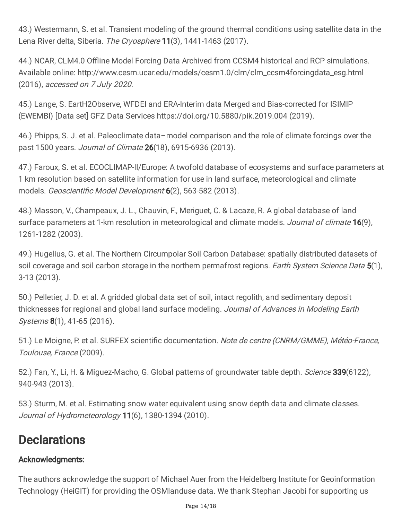43.) Westermann, S. et al. Transient modeling of the ground thermal conditions using satellite data in the Lena River delta, Siberia. The Cryosphere 11(3), 1441-1463 (2017).

44.) NCAR, CLM4.0 Offline Model Forcing Data Archived from CCSM4 historical and RCP simulations. Available online: http://www.cesm.ucar.edu/models/cesm1.0/clm/clm\_ccsm4forcingdata\_esg.html (2016), accessed on 7 July 2020.

45.) Lange, S. EartH2Observe, WFDEI and ERA-Interim data Merged and Bias-corrected for ISIMIP (EWEMBI) [Data set] GFZ Data Services https://doi.org/10.5880/pik.2019.004 (2019).

46.) Phipps, S. J. et al. Paleoclimate data–model comparison and the role of climate forcings over the past 1500 years. Journal of Climate 26(18), 6915-6936 (2013).

47.) Faroux, S. et al. ECOCLIMAP-II/Europe: A twofold database of ecosystems and surface parameters at 1 km resolution based on satellite information for use in land surface, meteorological and climate models. Geoscientific Model Development 6(2), 563-582 (2013).

48.) Masson, V., Champeaux, J. L., Chauvin, F., Meriguet, C. & Lacaze, R. A global database of land surface parameters at 1-km resolution in meteorological and climate models. Journal of climate 16(9), 1261-1282 (2003).

49.) Hugelius, G. et al. The Northern Circumpolar Soil Carbon Database: spatially distributed datasets of soil coverage and soil carbon storage in the northern permafrost regions. Earth System Science Data 5(1), 3-13 (2013).

50.) Pelletier, J. D. et al. A gridded global data set of soil, intact regolith, and sedimentary deposit thicknesses for regional and global land surface modeling. Journal of Advances in Modeling Earth Systems **8**(1), 41-65 (2016).

51.) Le Moigne, P. et al. SURFEX scientific documentation. Note de centre (CNRM/GMME), Météo-France, Toulouse, France (2009).

52.) Fan, Y., Li, H. & Miguez-Macho, G. Global patterns of groundwater table depth. *Science* 339(6122), 940-943 (2013).

53.) Sturm, M. et al. Estimating snow water equivalent using snow depth data and climate classes. Journal of Hydrometeorology 11(6), 1380-1394 (2010).

## **Declarations**

### Acknowledgments:

The authors acknowledge the support of Michael Auer from the Heidelberg Institute for Geoinformation Technology (HeiGIT) for providing the OSMlanduse data. We thank Stephan Jacobi for supporting us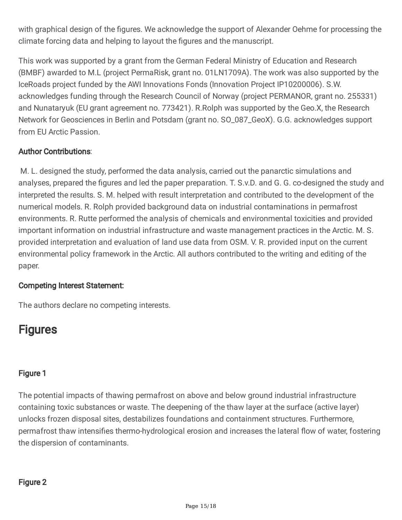with graphical design of the figures. We acknowledge the support of Alexander Oehme for processing the climate forcing data and helping to layout the figures and the manuscript.

This work was supported by a grant from the German Federal Ministry of Education and Research (BMBF) awarded to M.L (project PermaRisk, grant no. 01LN1709A). The work was also supported by the IceRoads project funded by the AWI Innovations Fonds (Innovation Project IP10200006). S.W. acknowledges funding through the Research Council of Norway (project PERMANOR, grant no. 255331) and Nunataryuk (EU grant agreement no. 773421). R.Rolph was supported by the Geo.X, the Research Network for Geosciences in Berlin and Potsdam (grant no. SO\_087\_GeoX). G.G. acknowledges support from EU Arctic Passion.

### Author Contributions:

M. L. designed the study, performed the data analysis, carried out the panarctic simulations and analyses, prepared the figures and led the paper preparation. T. S.v.D. and G. G. co-designed the study and interpreted the results. S. M. helped with result interpretation and contributed to the development of the numerical models. R. Rolph provided background data on industrial contaminations in permafrost environments. R. Rutte performed the analysis of chemicals and environmental toxicities and provided important information on industrial infrastructure and waste management practices in the Arctic. M. S. provided interpretation and evaluation of land use data from OSM. V. R. provided input on the current environmental policy framework in the Arctic. All authors contributed to the writing and editing of the paper.

### Competing Interest Statement:

The authors declare no competing interests.

### **Figures**

### Figure 1

The potential impacts of thawing permafrost on above and below ground industrial infrastructure containing toxic substances or waste. The deepening of the thaw layer at the surface (active layer) unlocks frozen disposal sites, destabilizes foundations and containment structures. Furthermore, permafrost thaw intensifies thermo-hydrological erosion and increases the lateral flow of water, fostering the dispersion of contaminants.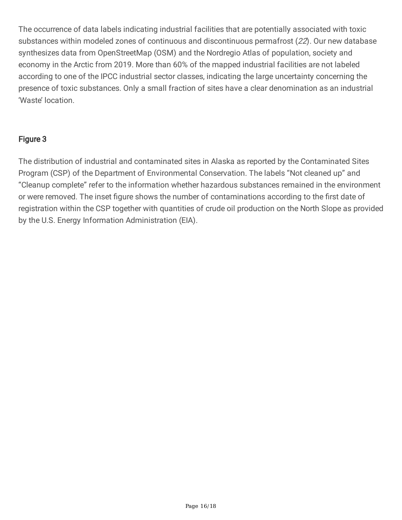The occurrence of data labels indicating industrial facilities that are potentially associated with toxic substances within modeled zones of continuous and discontinuous permafrost (22). Our new database synthesizes data from OpenStreetMap (OSM) and the Nordregio Atlas of population, society and economy in the Arctic from 2019. More than 60% of the mapped industrial facilities are not labeled according to one of the IPCC industrial sector classes, indicating the large uncertainty concerning the presence of toxic substances. Only a small fraction of sites have a clear denomination as an industrial 'Waste' location.

### Figure 3

The distribution of industrial and contaminated sites in Alaska as reported by the Contaminated Sites Program (CSP) of the Department of Environmental Conservation. The labels "Not cleaned up" and "Cleanup complete" refer to the information whether hazardous substances remained in the environment or were removed. The inset figure shows the number of contaminations according to the first date of registration within the CSP together with quantities of crude oil production on the North Slope as provided by the U.S. Energy Information Administration (EIA).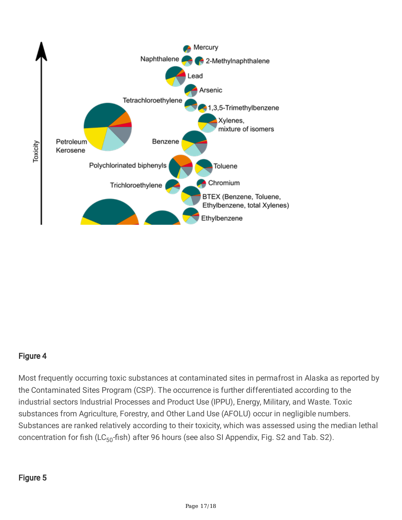

### Figure 4

Most frequently occurring toxic substances at contaminated sites in permafrost in Alaska as reported by the Contaminated Sites Program (CSP). The occurrence is further differentiated according to the industrial sectors Industrial Processes and Product Use (IPPU), Energy, Military, and Waste. Toxic substances from Agriculture, Forestry, and Other Land Use (AFOLU) occur in negligible numbers. Substances are ranked relatively according to their toxicity, which was assessed using the median lethal concentration for fish (LC<sub>50</sub>-fish) after 96 hours (see also SI Appendix, Fig. S2 and Tab. S2).